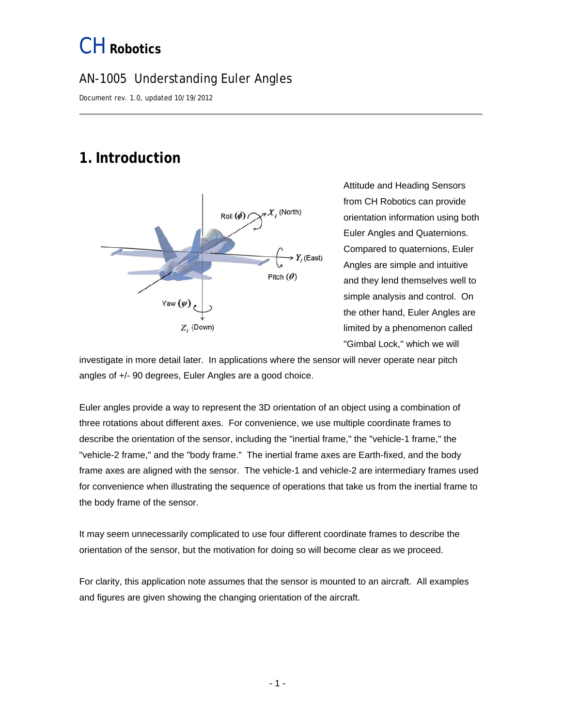### AN-1005 Understanding Euler Angles

Document rev. 1.0, updated 10/19/2012

## <span id="page-0-0"></span>**1.Introduction**



Attitude and Heading Sensors from CH Robotics can provide orientation information using both Euler Angles and Quaternions. Compared to quaternions, Euler Angles are simple and intuitive and they lend themselves well to simple analysis and control. On the other hand, Euler Angles are limited by a phenomenon called "Gimbal Lock," which we will

investigate in more detail later. In applications where the sensor will never operate near pitch angles of +/- 90 degrees, Euler Angles are a good choice.

Euler angles provide a way to represent the 3D orientation of an object using a combination of three rotations about different axes. For convenience, we use multiple coordinate frames to describe the orientation of the sensor, including the "inertial frame," the "vehicle-1 frame," the "vehicle-2 frame," and the "body frame." The inertial frame axes are Earth-fixed, and the body frame axes are aligned with the sensor. The vehicle-1 and vehicle-2 are intermediary frames used for convenience when illustrating the sequence of operations that take us from the inertial frame to the body frame of the sensor.

It may seem unnecessarily complicated to use four different coordinate frames to describe the orientation of the sensor, but the motivation for doing so will become clear as we proceed.

For clarity, this application note assumes that the sensor is mounted to an aircraft. All examples and figures are given showing the changing orientation of the aircraft.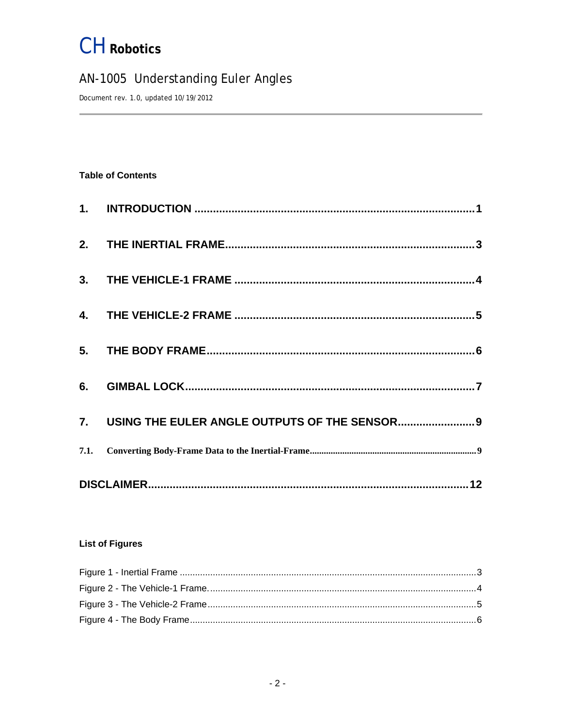### AN-1005 Understanding Euler Angles

Document rev. 1.0, updated 10/19/2012

#### **Table of Contents**

| 7. USING THE EULER ANGLE OUTPUTS OF THE SENSOR 9 |
|--------------------------------------------------|
|                                                  |
|                                                  |

#### **List of Figures**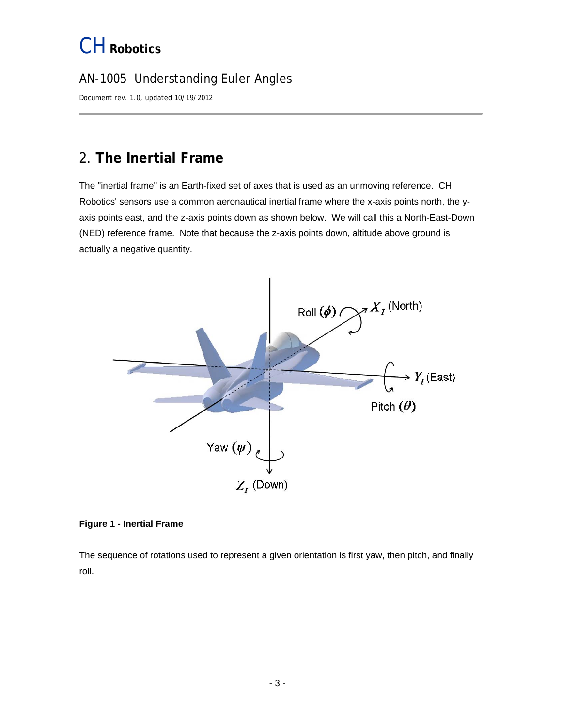### AN-1005 Understanding Euler Angles

Document rev. 1.0, updated 10/19/2012

### <span id="page-2-0"></span>2. **The Inertial Frame**

The "inertial frame" is an Earth-fixed set of axes that is used as an unmoving reference. CH Robotics' sensors use a common aeronautical inertial frame where the x-axis points north, the yaxis points east, and the z-axis points down as shown below. We will call this a North-East-Down (NED) reference frame. Note that because the z-axis points down, altitude above ground is actually a negative quantity.



#### <span id="page-2-1"></span>**Figure 1 - Inertial Frame**

The sequence of rotations used to represent a given orientation is first yaw, then pitch, and finally roll.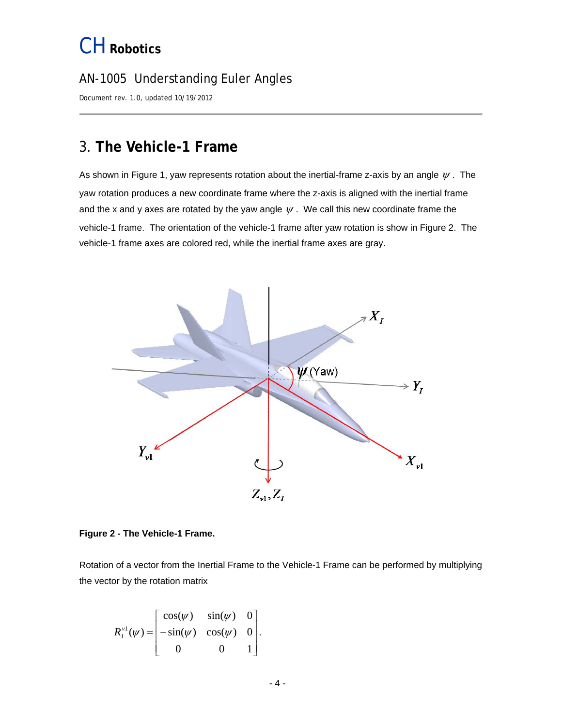#### AN-1005 Understanding Euler Angles

Document rev. 1.0, updated 10/19/2012

### <span id="page-3-0"></span>3. **The Vehicle-1 Frame**

As shown in Figure 1, yaw represents rotation about the inertial-frame z-axis by an angle  $\psi$ . The yaw rotation produces a new coordinate frame where the z-axis is aligned with the inertial frame and the x and y axes are rotated by the yaw angle  $\psi$ . We call this new coordinate frame the vehicle-1 frame. The orientation of the vehicle-1 frame after yaw rotation is show in Figure 2. The vehicle-1 frame axes are colored red, while the inertial frame axes are gray.



<span id="page-3-1"></span>**Figure 2 - The Vehicle-1 Frame.** 

Rotation of a vector from the Inertial Frame to the Vehicle-1 Frame can be performed by multiplying the vector by the rotation matrix

$$
R_I^{\nu 1}(\psi) = \begin{bmatrix} \cos(\psi) & \sin(\psi) & 0 \\ -\sin(\psi) & \cos(\psi) & 0 \\ 0 & 0 & 1 \end{bmatrix}.
$$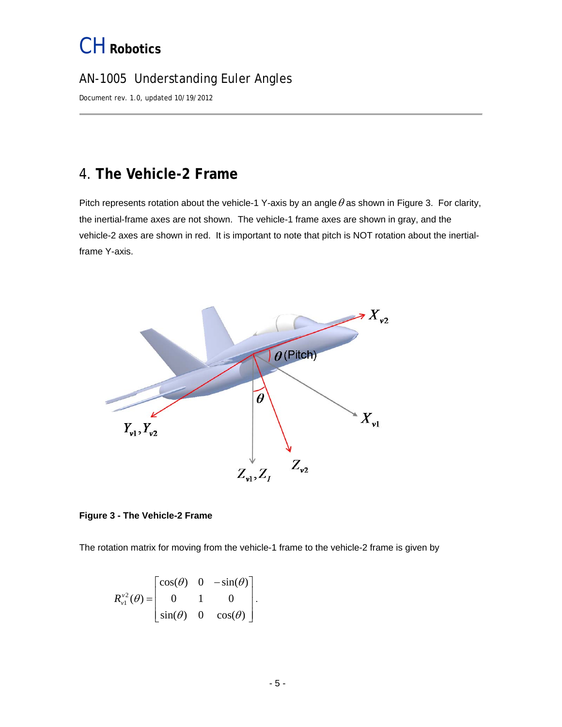### AN-1005 Understanding Euler Angles

Document rev. 1.0, updated 10/19/2012

### <span id="page-4-0"></span>4. **The Vehicle-2 Frame**

Pitch represents rotation about the vehicle-1 Y-axis by an angle  $\theta$  as shown in Figure 3. For clarity, the inertial-frame axes are not shown. The vehicle-1 frame axes are shown in gray, and the vehicle-2 axes are shown in red. It is important to note that pitch is NOT rotation about the inertialframe Y-axis.



#### <span id="page-4-1"></span>**Figure 3 - The Vehicle-2 Frame**

The rotation matrix for moving from the vehicle-1 frame to the vehicle-2 frame is given by

$$
R_{\nu 1}^{\nu 2}(\theta) = \begin{bmatrix} \cos(\theta) & 0 & -\sin(\theta) \\ 0 & 1 & 0 \\ \sin(\theta) & 0 & \cos(\theta) \end{bmatrix}.
$$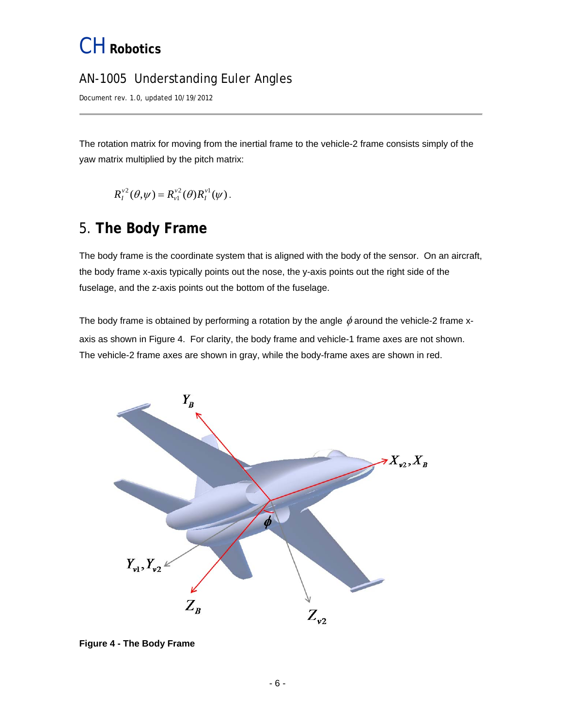### AN-1005 Understanding Euler Angles

Document rev. 1.0, updated 10/19/2012

The rotation matrix for moving from the inertial frame to the vehicle-2 frame consists simply of the yaw matrix multiplied by the pitch matrix:

$$
R_I^{\nu 2}(\theta,\psi)=R_{\nu 1}^{\nu 2}(\theta)R_I^{\nu 1}(\psi).
$$

### <span id="page-5-2"></span><span id="page-5-0"></span>5. **The Body Frame**

The body frame is the coordinate system that is aligned with the body of the sensor. On an aircraft, the body frame x-axis typically points out the nose, the y-axis points out the right side of the fuselage, and the z-axis points out the bottom of the fuselage.

The body frame is obtained by performing a rotation by the angle  $\phi$  around the vehicle-2 frame xaxis as shown in Figure 4. For clarity, the body frame and vehicle-1 frame axes are not shown. The vehicle-2 frame axes are shown in gray, while the body-frame axes are shown in red.



<span id="page-5-1"></span>**Figure 4 - The Body Frame**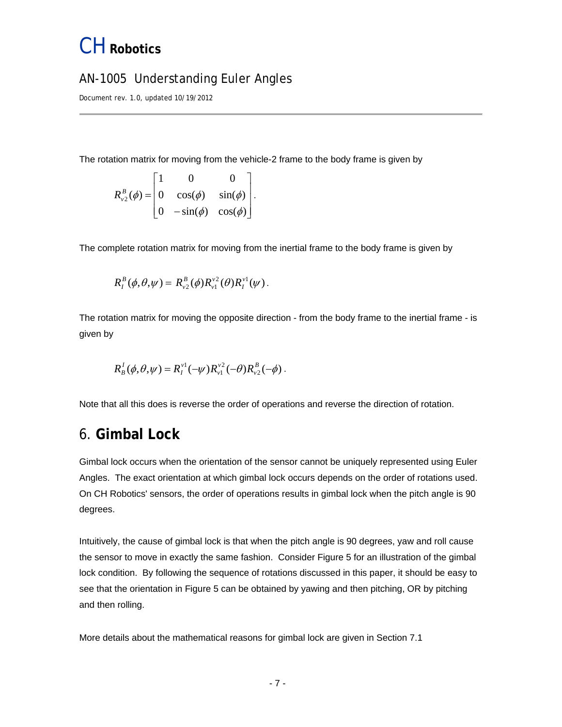#### AN-1005 Understanding Euler Angles

Document rev. 1.0, updated 10/19/2012

The rotation matrix for moving from the vehicle-2 frame to the body frame is given by

$$
R_{v_2}^B(\phi) = \begin{bmatrix} 1 & 0 & 0 \\ 0 & \cos(\phi) & \sin(\phi) \\ 0 & -\sin(\phi) & \cos(\phi) \end{bmatrix}.
$$

The complete rotation matrix for moving from the inertial frame to the body frame is given by

$$
R_I^B(\phi,\theta,\psi) = R_{v_2}^B(\phi)R_{v_1}^{v_2}(\theta)R_I^{v_1}(\psi).
$$

The rotation matrix for moving the opposite direction - from the body frame to the inertial frame - is given by

$$
R_{B}^{I}(\phi,\theta,\psi)=R_{I}^{\nu 1}(-\psi)R_{\nu 1}^{\nu 2}(-\theta)R_{\nu 2}^{B}(-\phi).
$$

Note that all this does is reverse the order of operations and reverse the direction of rotation.

#### <span id="page-6-0"></span>6. **Gimbal Lock**

Gimbal lock occurs when the orientation of the sensor cannot be uniquely represented using Euler Angles. The exact orientation at which gimbal lock occurs depends on the order of rotations used. On CH Robotics' sensors, the order of operations results in gimbal lock when the pitch angle is 90 degrees.

Intuitively, the cause of gimbal lock is that when the pitch angle is 90 degrees, yaw and roll cause the sensor to move in exactly the same fashion. Consider Figure 5 for an illustration of the gimbal lock condition. By following the sequence of rotations discussed in this paper, it should be easy to see that the orientation in Figure 5 can be obtained by yawing and then pitching, OR by pitching and then rolling.

More details about the mathematical reasons for gimbal lock are given in Section 7.1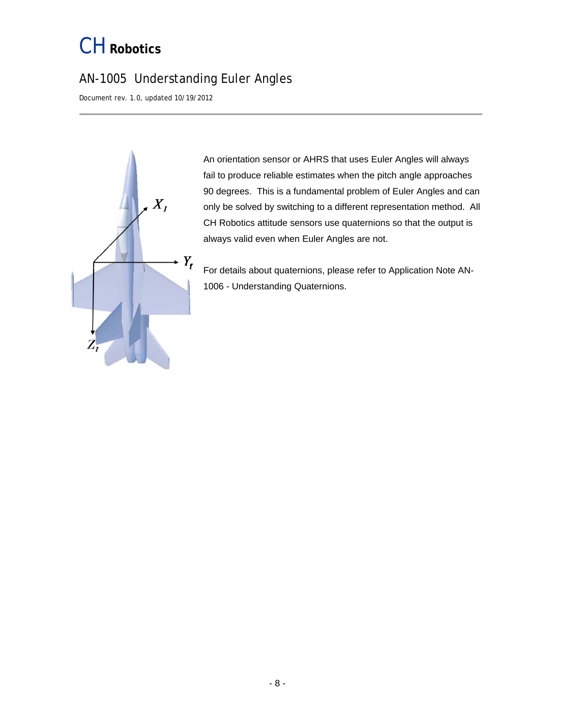### AN-1005 Understanding Euler Angles

Document rev. 1.0, updated 10/19/2012



90 degrees. This is a fundamental problem of Euler Angles and can An orientation sensor or AHRS that uses Euler Angles will always fail to produce reliable estimates when the pitch angle approaches only be solved by switching to a different representation method. All CH Robotics attitude sensors use quaternions so that the output is always valid even when Euler Angles are not.

For details about quaternions, please refer to Application Note AN-1006 - Understanding Quaternions.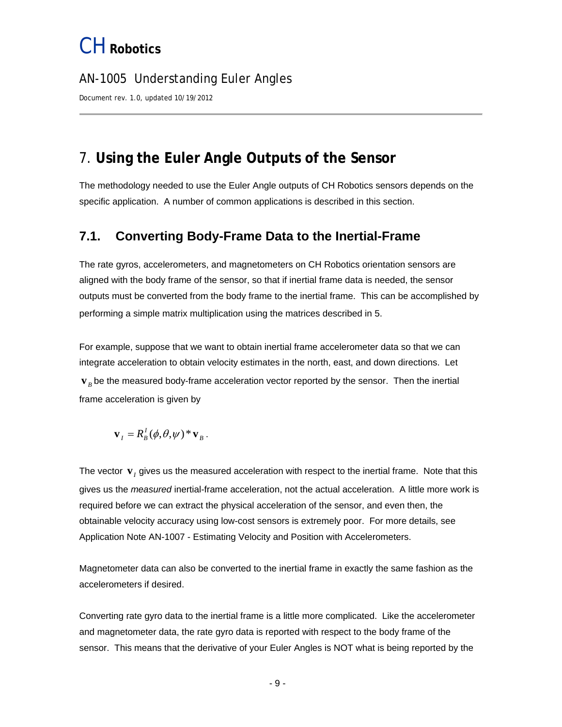#### AN-1005 Understanding Euler Angles

Document rev. 1.0, updated 10/19/2012

### <span id="page-8-0"></span>7. **Using the Euler Angle Outputs of the Sensor**

The methodology needed to use the Euler Angle outputs of CH Robotics sensors depends on the specific application. A number of common applications is described in this section.

#### <span id="page-8-1"></span>**7.1. Converting Body-Frame Data to the Inertial-Frame**

The rate gyros, accelerometers, and magnetometers on CH Robotics orientation sensors are aligned with the body frame of the sensor, so that if inertial frame data is needed, the sensor outputs must be converted from the body frame to the inertial frame. This can be accomplished by performing a simple matrix multiplication using the matrices described in [5.](#page-5-2)

For example, suppose that we want to obtain inertial frame accelerometer data so that we can integrate acceleration to obtain velocity estimates in the north, east, and down directions. Let  $\mathbf{v}_B$  be the measured body-frame acceleration vector reported by the sensor. Then the inertial frame acceleration is given by

$$
\mathbf{v}_I = R_B^I(\phi, \theta, \psi)^* \mathbf{v}_B.
$$

The vector  $\mathbf{v}_i$  gives us the measured acceleration with respect to the inertial frame. Note that this gives us the *measured* inertial-frame acceleration, not the actual acceleration. A little more work is required before we can extract the physical acceleration of the sensor, and even then, the obtainable velocity accuracy using low-cost sensors is extremely poor. For more details, see Application Note AN-1007 - Estimating Velocity and Position with Accelerometers.

Magnetometer data can also be converted to the inertial frame in exactly the same fashion as the accelerometers if desired.

Converting rate gyro data to the inertial frame is a little more complicated. Like the accelerometer and magnetometer data, the rate gyro data is reported with respect to the body frame of the sensor. This means that the derivative of your Euler Angles is NOT what is being reported by the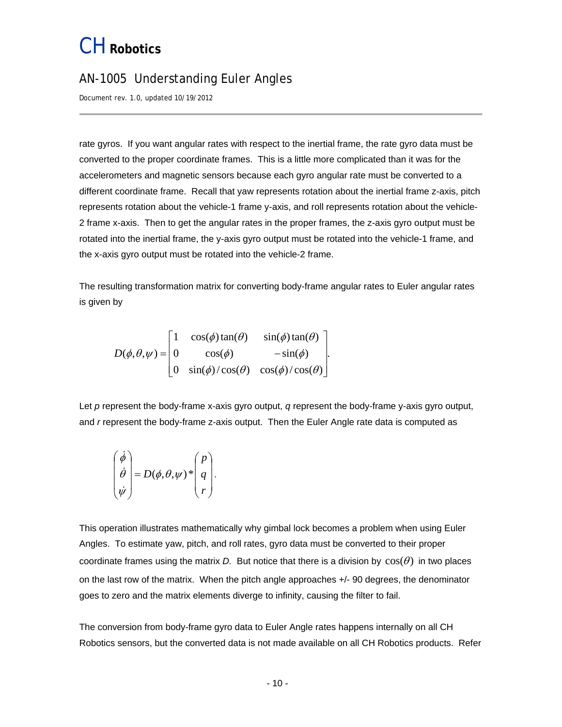#### AN-1005 Understanding Euler Angles

Document rev. 1.0, updated 10/19/2012

rate gyros. If you want angular rates with respect to the inertial frame, the rate gyro data must be converted to the proper coordinate frames. This is a little more complicated than it was for the accelerometers and magnetic sensors because each gyro angular rate must be converted to a different coordinate frame. Recall that yaw represents rotation about the inertial frame z-axis, pitch represents rotation about the vehicle-1 frame y-axis, and roll represents rotation about the vehicle-2 frame x-axis. Then to get the angular rates in the proper frames, the z-axis gyro output must be rotated into the inertial frame, the y-axis gyro output must be rotated into the vehicle-1 frame, and the x-axis gyro output must be rotated into the vehicle-2 frame.

The resulting transformation matrix for converting body-frame angular rates to Euler angular rates is given by

$$
D(\phi,\theta,\psi) = \begin{bmatrix} 1 & \cos(\phi)\tan(\theta) & \sin(\phi)\tan(\theta) \\ 0 & \cos(\phi) & -\sin(\phi) \\ 0 & \sin(\phi)/\cos(\theta) & \cos(\phi)/\cos(\theta) \end{bmatrix}.
$$

Let *p* represent the body-frame x-axis gyro output, *q* represent the body-frame y-axis gyro output, and *r* represent the body-frame z-axis output. Then the Euler Angle rate data is computed as

$$
\begin{pmatrix} \dot{\phi} \\ \dot{\theta} \\ \dot{\psi} \end{pmatrix} = D(\phi, \theta, \psi)^* \begin{pmatrix} p \\ q \\ r \end{pmatrix}.
$$

This operation illustrates mathematically why gimbal lock becomes a problem when using Euler Angles. To estimate yaw, pitch, and roll rates, gyro data must be converted to their proper coordinate frames using the matrix *D.* But notice that there is a division by  $cos(\theta)$  in two places on the last row of the matrix. When the pitch angle approaches +/- 90 degrees, the denominator goes to zero and the matrix elements diverge to infinity, causing the filter to fail.

The conversion from body-frame gyro data to Euler Angle rates happens internally on all CH Robotics sensors, but the converted data is not made available on all CH Robotics products. Refer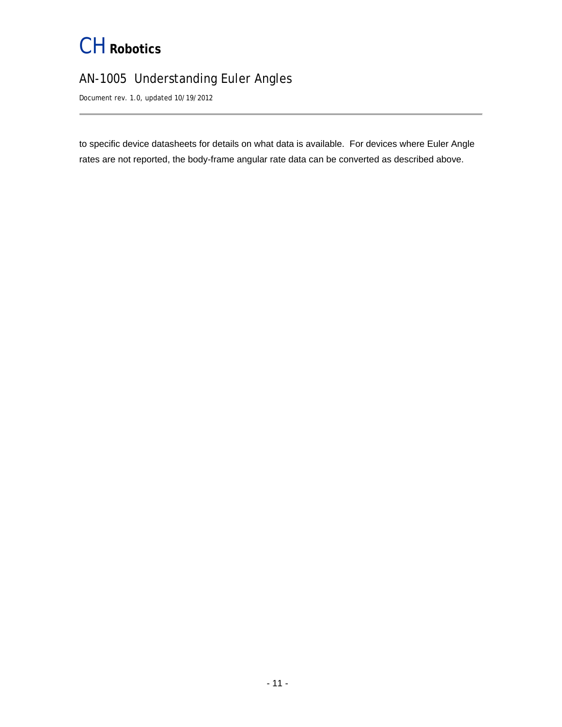### AN-1005 Understanding Euler Angles

Document rev. 1.0, updated 10/19/2012

to specific device datasheets for details on what data is available. For devices where Euler Angle rates are not reported, the body-frame angular rate data can be converted as described above.